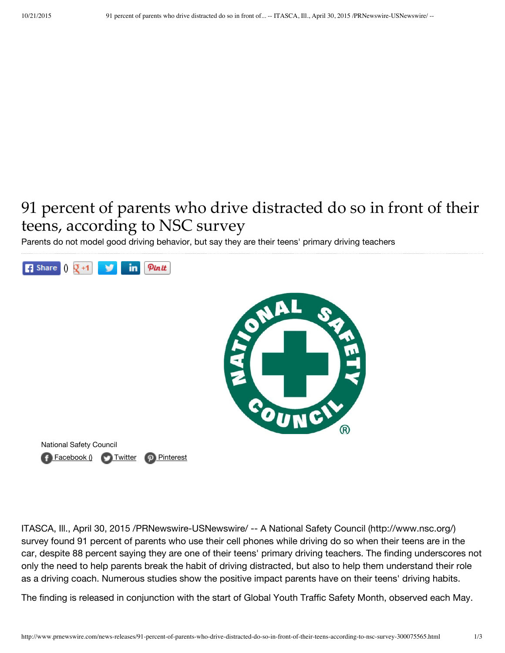## 91 percent of parents who drive distracted do so in front of their teens, according to NSC survey

Parents do not model good driving behavior, but say they are their teens' primary driving teachers



ITASCA, Ill., April 30, 2015 /PRNewswire-USNewswire/ -- A National Safety Council (http://www.nsc.org/) survey found 91 percent of parents who use their cell phones while driving do so when their teens are in the car, despite 88 percent saying they are one of their teens' primary driving teachers. The finding underscores not only the need to help parents break the habit of driving distracted, but also to help them understand their role as a driving coach. Numerous studies show the positive impact parents have on their teens' driving habits.

The finding is released in conjunction with the start of Global Youth Traffic Safety Month, observed each May.